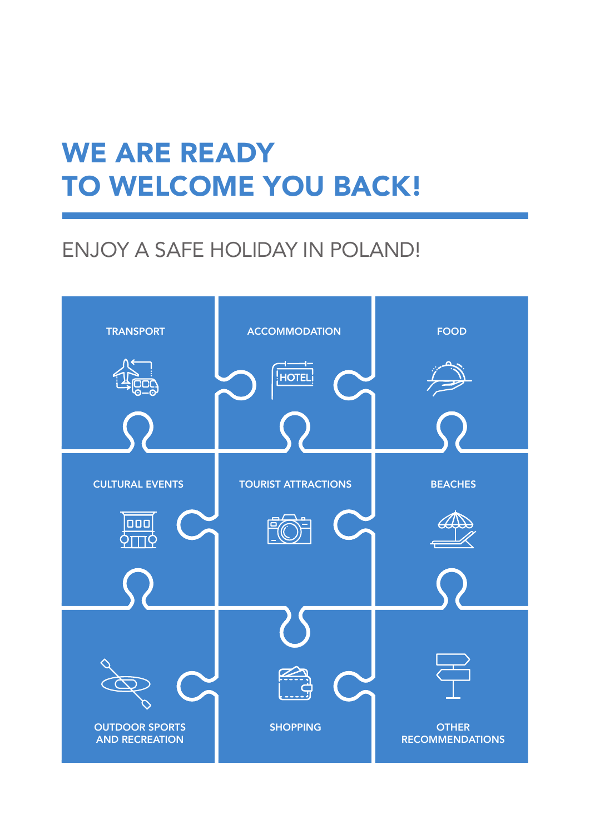# WE ARE READY TO WELCOME YOU BACK!

## ENJOY A SAFE HOLIDAY IN POLAND!

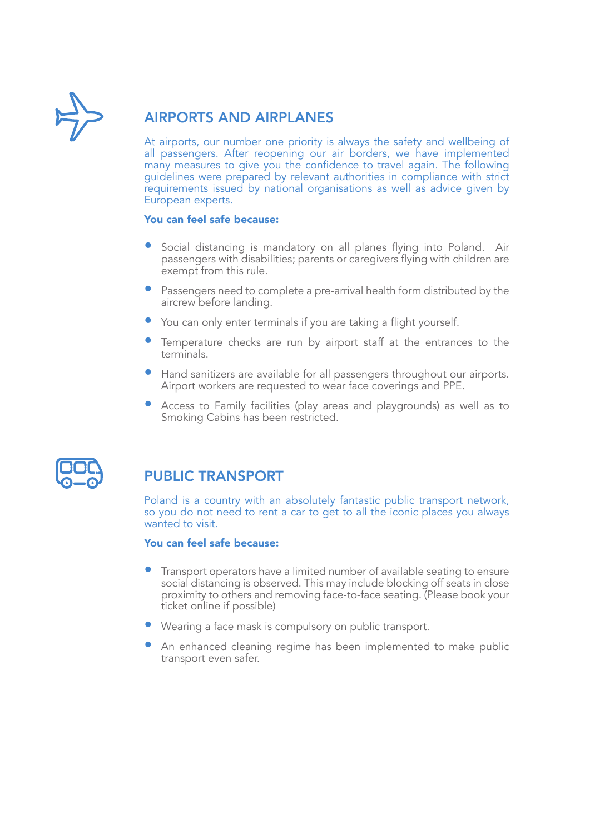

### AIRPORTS AND AIRPLANES

At airports, our number one priority is always the safety and wellbeing of all passengers. After reopening our air borders, we have implemented many measures to give you the confidence to travel again. The following guidelines were prepared by relevant authorities in compliance with strict requirements issued by national organisations as well as advice given by European experts.

#### You can feel safe because:

- Social distancing is mandatory on all planes flying into Poland. Air passengers with disabilities; parents or caregivers flying with children are exempt from this rule.
- Passengers need to complete a pre-arrival health form distributed by the aircrew before landing.
- You can only enter terminals if you are taking a flight yourself.
- Temperature checks are run by airport staff at the entrances to the terminals.
- Hand sanitizers are available for all passengers throughout our airports. Airport workers are requested to wear face coverings and PPE.
- Access to Family facilities (play areas and playgrounds) as well as to Smoking Cabins has been restricted.



### PUBLIC TRANSPORT

Poland is a country with an absolutely fantastic public transport network, so you do not need to rent a car to get to all the iconic places you always wanted to visit.

- Transport operators have a limited number of available seating to ensure social distancing is observed. This may include blocking off seats in close proximity to others and removing face-to-face seating. (Please book your ticket online if possible)
- Wearing a face mask is compulsory on public transport.
- An enhanced cleaning regime has been implemented to make public transport even safer.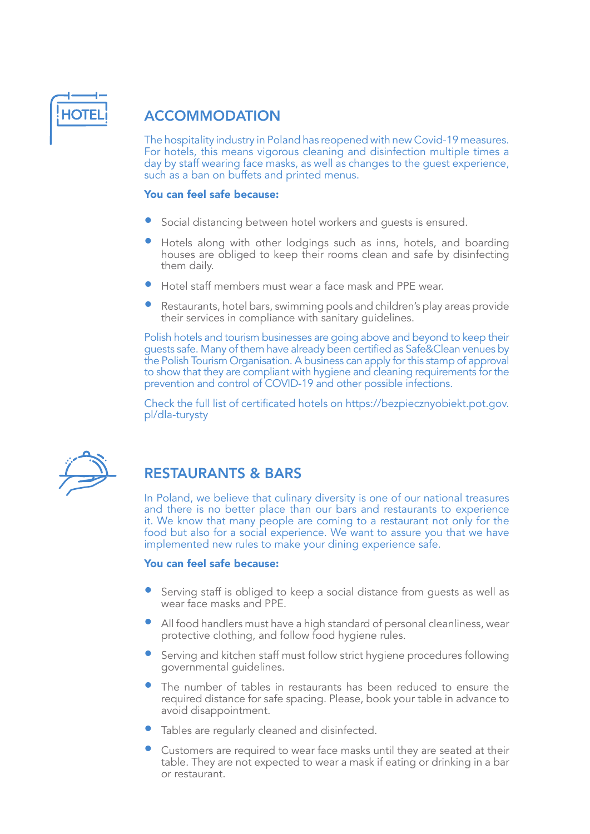

### **ACCOMMODATION**

The hospitality industry in Poland has reopened with new Covid-19 measures. For hotels, this means vigorous cleaning and disinfection multiple times a day by staff wearing face masks, as well as changes to the guest experience, such as a ban on buffets and printed menus.

#### You can feel safe because:

- Social distancing between hotel workers and guests is ensured.
- Hotels along with other lodgings such as inns, hotels, and boarding houses are obliged to keep their rooms clean and safe by disinfecting them daily.
- Hotel staff members must wear a face mask and PPE wear.
- Restaurants, hotel bars, swimming pools and children's play areas provide their services in compliance with sanitary guidelines.

Polish hotels and tourism businesses are going above and beyond to keep their guests safe. Many of them have already been certified as Safe&Clean venues by the Polish Tourism Organisation. A business can apply for this stamp of approval to show that they are compliant with hygiene and cleaning requirements for the prevention and control of COVID-19 and other possible infections.

Check the full list of certificated hotels on https://bezpiecznyobiekt.pot.gov. pl/dla-turysty



### RESTAURANTS & BARS

In Poland, we believe that culinary diversity is one of our national treasures and there is no better place than our bars and restaurants to experience it. We know that many people are coming to a restaurant not only for the food but also for a social experience. We want to assure you that we have implemented new rules to make your dining experience safe.

- Serving staff is obliged to keep a social distance from guests as well as wear face masks and PPE.
- All food handlers must have a high standard of personal cleanliness, wear protective clothing, and follow food hygiene rules.
- Serving and kitchen staff must follow strict hygiene procedures following governmental guidelines.
- The number of tables in restaurants has been reduced to ensure the required distance for safe spacing. Please, book your table in advance to avoid disappointment.
- Tables are regularly cleaned and disinfected.
- Customers are required to wear face masks until they are seated at their table. They are not expected to wear a mask if eating or drinking in a bar or restaurant.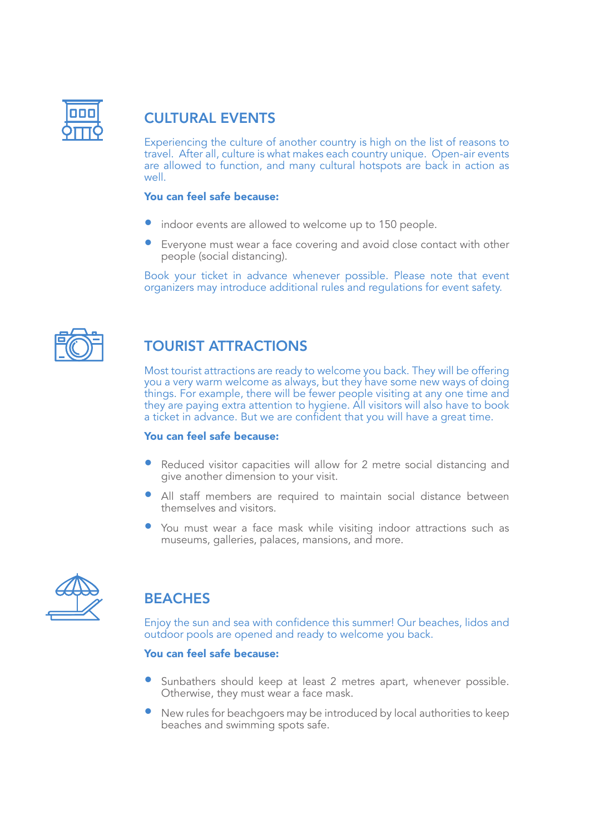

### CULTURAL EVENTS

Experiencing the culture of another country is high on the list of reasons to travel. After all, culture is what makes each country unique. Open-air events are allowed to function, and many cultural hotspots are back in action as well.

#### You can feel safe because:

- indoor events are allowed to welcome up to 150 people.
- Everyone must wear a face covering and avoid close contact with other people (social distancing).

Book your ticket in advance whenever possible. Please note that event organizers may introduce additional rules and regulations for event safety.



### TOURIST ATTRACTIONS

Most tourist attractions are ready to welcome you back. They will be offering you a very warm welcome as always, but they have some new ways of doing things. For example, there will be fewer people visiting at any one time and they are paying extra attention to hygiene. All visitors will also have to book a ticket in advance. But we are confident that you will have a great time.

#### You can feel safe because:

- Reduced visitor capacities will allow for 2 metre social distancing and give another dimension to your visit.
- All staff members are required to maintain social distance between themselves and visitors.
- You must wear a face mask while visiting indoor attractions such as museums, galleries, palaces, mansions, and more.



### **BEACHES**

Enjoy the sun and sea with confidence this summer! Our beaches, lidos and outdoor pools are opened and ready to welcome you back.

- Sunbathers should keep at least 2 metres apart, whenever possible. Otherwise, they must wear a face mask.
- New rules for beachgoers may be introduced by local authorities to keep beaches and swimming spots safe.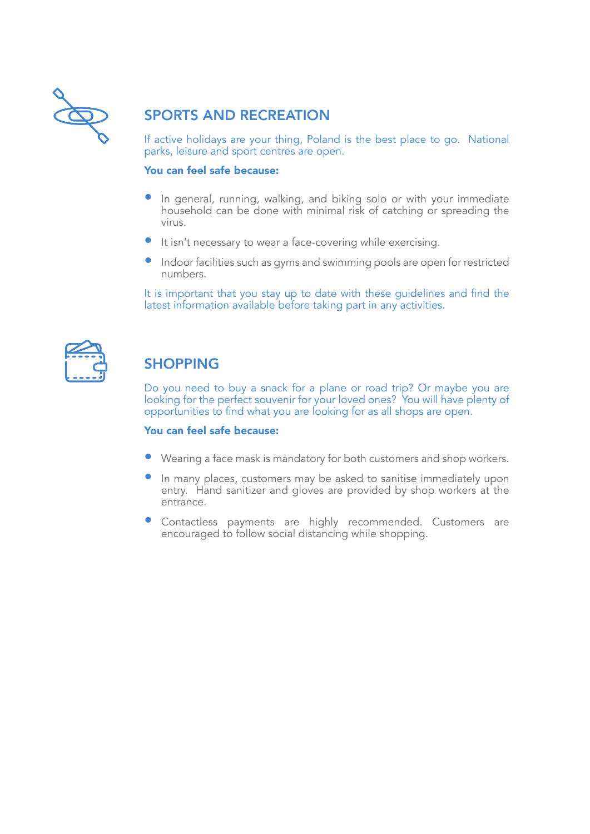

### SPORTS AND RECREATION

If active holidays are your thing, Poland is the best place to go. National parks, leisure and sport centres are open.

#### You can feel safe because:

- In general, running, walking, and biking solo or with your immediate household can be done with minimal risk of catching or spreading the virus.
- It isn't necessary to wear a face-covering while exercising.
- Indoor facilities such as gyms and swimming pools are open for restricted numbers.

It is important that you stay up to date with these guidelines and find the latest information available before taking part in any activities.

### **SHOPPING**

Do you need to buy a snack for a plane or road trip? Or maybe you are looking for the perfect souvenir for your loved ones? You will have plenty of opportunities to find what you are looking for as all shops are open.

- Wearing a face mask is mandatory for both customers and shop workers.
- In many places, customers may be asked to sanitise immediately upon entry. Hand sanitizer and gloves are provided by shop workers at the entrance.
- Contactless payments are highly recommended. Customers are encouraged to follow social distancing while shopping.